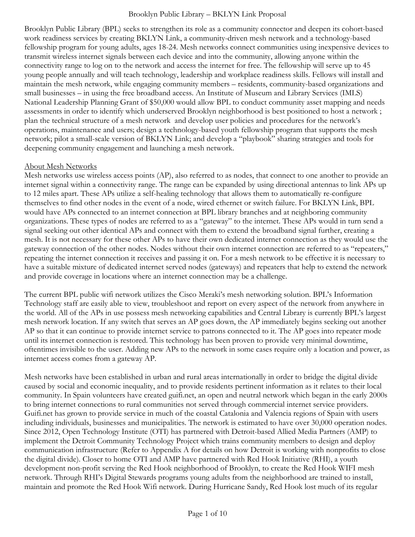Brooklyn Public Library (BPL) seeks to strengthen its role as a community connector and deepen its cohort-based work readiness services by creating BKLYN Link, a community-driven mesh network and a technology-based fellowship program for young adults, ages 18-24. Mesh networks connect communities using inexpensive devices to transmit wireless internet signals between each device and into the community, allowing anyone within the connectivity range to log on to the network and access the internet for free. The fellowship will serve up to 45 young people annually and will teach technology, leadership and workplace readiness skills. Fellows will install and maintain the mesh network, while engaging community members – residents, community-based organizations and small businesses – in using the free broadband access. An Institute of Museum and Library Services (IMLS) National Leadership Planning Grant of \$50,000 would allow BPL to conduct community asset mapping and needs assessments in order to identify which underserved Brooklyn neighborhood is best positioned to host a network ; plan the technical structure of a mesh network and develop user policies and procedures for the network's operations, maintenance and users; design a technology-based youth fellowship program that supports the mesh network; pilot a small-scale version of BKLYN Link; and develop a "playbook" sharing strategies and tools for deepening community engagement and launching a mesh network.

#### About Mesh Networks

Mesh networks use wireless access points (AP), also referred to as nodes, that connect to one another to provide an internet signal within a connectivity range. The range can be expanded by using directional antennas to link APs up to 12 miles apart. These APs utilize a self-healing technology that allows them to automatically re-configure themselves to find other nodes in the event of a node, wired ethernet or switch failure. For BKLYN Link, BPL would have APs connected to an internet connection at BPL library branches and at neighboring community organizations. These types of nodes are referred to as a "gateway" to the internet. These APs would in turn send a signal seeking out other identical APs and connect with them to extend the broadband signal further, creating a mesh. It is not necessary for these other APs to have their own dedicated internet connection as they would use the gateway connection of the other nodes. Nodes without their own internet connection are referred to as "repeaters," repeating the internet connection it receives and passing it on. For a mesh network to be effective it is necessary to have a suitable mixture of dedicated internet served nodes (gateways) and repeaters that help to extend the network and provide coverage in locations where an internet connection may be a challenge.

The current BPL public wifi network utilizes the Cisco Meraki's mesh networking solution. BPL's Information Technology staff are easily able to view, troubleshoot and report on every aspect of the network from anywhere in the world. All of the APs in use possess mesh networking capabilities and Central Library is currently BPL's largest mesh network location. If any switch that serves an AP goes down, the AP immediately begins seeking out another AP so that it can continue to provide internet service to patrons connected to it. The AP goes into repeater mode until its internet connection is restored. This technology has been proven to provide very minimal downtime, oftentimes invisible to the user. Adding new APs to the network in some cases require only a location and power, as internet access comes from a gateway AP.

Mesh networks have been established in urban and rural areas internationally in order to bridge the digital divide caused by social and economic inequality, and to provide residents pertinent information as it relates to their local community. In Spain volunteers have created guifi.net, an open and neutral network which began in the early 2000s to bring internet connections to rural communities not served through commercial internet service providers. Guifi.net has grown to provide service in much of the coastal Catalonia and Valencia regions of Spain with users including individuals, businesses and municipalities. The network is estimated to have over 30,000 operation nodes. Since 2012, Open Technology Institute (OTI) has partnered with Detroit-based Allied Media Partners (AMP) to implement the Detroit Community Technology Project which trains community members to design and deploy communication infrastructure (Refer to Appendix A for details on how Detroit is working with nonprofits to close the digital divide). Closer to home OTI and AMP have partnered with Red Hook Initiative (RHI), a youth development non-profit serving the Red Hook neighborhood of Brooklyn, to create the Red Hook WIFI mesh network. Through RHI's Digital Stewards programs young adults from the neighborhood are trained to install, maintain and promote the Red Hook Wifi network. During Hurricane Sandy, Red Hook lost much of its regular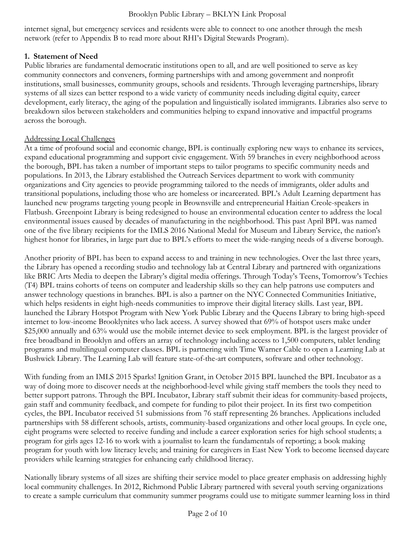internet signal, but emergency services and residents were able to connect to one another through the mesh network (refer to Appendix B to read more about RHI's Digital Stewards Program).

## **1. Statement of Need**

Public libraries are fundamental democratic institutions open to all, and are well positioned to serve as key community connectors and conveners, forming partnerships with and among government and nonprofit institutions, small businesses, community groups, schools and residents. Through leveraging partnerships, library systems of all sizes can better respond to a wide variety of community needs including digital equity, career development, early literacy, the aging of the population and linguistically isolated immigrants. Libraries also serve to breakdown silos between stakeholders and communities helping to expand innovative and impactful programs across the borough.

## Addressing Local Challenges

At a time of profound social and economic change, BPL is continually exploring new ways to enhance its services, expand educational programming and support civic engagement. With 59 branches in every neighborhood across the borough, BPL has taken a number of important steps to tailor programs to specific community needs and populations. In 2013, the Library established the Outreach Services department to work with community organizations and City agencies to provide programming tailored to the needs of immigrants, older adults and transitional populations, including those who are homeless or incarcerated. BPL's Adult Learning department has launched new programs targeting young people in Brownsville and entrepreneurial Haitian Creole-speakers in Flatbush. Greenpoint Library is being redesigned to house an environmental education center to address the local environmental issues caused by decades of manufacturing in the neighborhood. This past April BPL was named one of the five library recipients for the IMLS 2016 National Medal for Museum and Library Service, the nation's highest honor for libraries, in large part due to BPL's efforts to meet the wide-ranging needs of a diverse borough.

Another priority of BPL has been to expand access to and training in new technologies. Over the last three years, the Library has opened a recording studio and technology lab at Central Library and partnered with organizations like BRIC Arts Media to deepen the Library's digital media offerings. Through Today's Teens, Tomorrow's Techies (T4) BPL trains cohorts of teens on computer and leadership skills so they can help patrons use computers and answer technology questions in branches. BPL is also a partner on the NYC Connected Communities Initiative, which helps residents in eight high-needs communities to improve their digital literacy skills. Last year, BPL launched the Library Hotspot Program with New York Public Library and the Queens Library to bring high-speed internet to low-income Brooklynites who lack access. A survey showed that 69% of hotspot users make under \$25,000 annually and 63% would use the mobile internet device to seek employment. BPL is the largest provider of free broadband in Brooklyn and offers an array of technology including access to 1,500 computers, tablet lending programs and multilingual computer classes. BPL is partnering with Time Warner Cable to open a Learning Lab at Bushwick Library. The Learning Lab will feature state-of-the-art computers, software and other technology.

With funding from an IMLS 2015 Sparks! Ignition Grant, in October 2015 BPL launched the BPL Incubator as a way of doing more to discover needs at the neighborhood-level while giving staff members the tools they need to better support patrons. Through the BPL Incubator, Library staff submit their ideas for community-based projects, gain staff and community feedback, and compete for funding to pilot their project. In its first two competition cycles, the BPL Incubator received 51 submissions from 76 staff representing 26 branches. Applications included partnerships with 58 different schools, artists, community-based organizations and other local groups. In cycle one, eight programs were selected to receive funding and include a career exploration series for high school students; a program for girls ages 12-16 to work with a journalist to learn the fundamentals of reporting; a book making program for youth with low literacy levels; and training for caregivers in East New York to become licensed daycare providers while learning strategies for enhancing early childhood literacy.

Nationally library systems of all sizes are shifting their service model to place greater emphasis on addressing highly local community challenges. In 2012, Richmond Public Library partnered with several youth serving organizations to create a sample curriculum that community summer programs could use to mitigate summer learning loss in third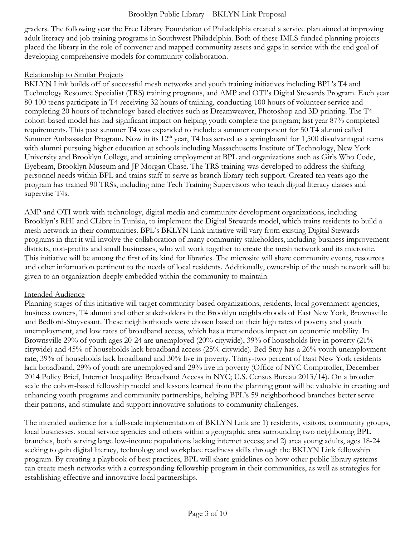graders. The following year the Free Library Foundation of Philadelphia created a service plan aimed at improving adult literacy and job training programs in Southwest Philadelphia. Both of these IMLS-funded planning projects placed the library in the role of convener and mapped community assets and gaps in service with the end goal of developing comprehensive models for community collaboration.

#### Relationship to Similar Projects

BKLYN Link builds off of successful mesh networks and youth training initiatives including BPL's T4 and Technology Resource Specialist (TRS) training programs, and AMP and OTI's Digital Stewards Program. Each year 80-100 teens participate in T4 receiving 32 hours of training, conducting 100 hours of volunteer service and completing 20 hours of technology-based electives such as Dreamweaver, Photoshop and 3D printing. The T4 cohort-based model has had significant impact on helping youth complete the program; last year 87% completed requirements. This past summer T4 was expanded to include a summer component for 50 T4 alumni called Summer Ambassador Program. Now in its  $12<sup>th</sup>$  year, T4 has served as a springboard for 1,500 disadvantaged teens with alumni pursuing higher education at schools including Massachusetts Institute of Technology, New York University and Brooklyn College, and attaining employment at BPL and organizations such as Girls Who Code, Eyebeam, Brooklyn Museum and JP Morgan Chase. The TRS training was developed to address the shifting personnel needs within BPL and trains staff to serve as branch library tech support. Created ten years ago the program has trained 90 TRSs, including nine Tech Training Supervisors who teach digital literacy classes and supervise T4s.

AMP and OTI work with technology, digital media and community development organizations, including Brooklyn's RHI and CLibre in Tunisia, to implement the Digital Stewards model, which trains residents to build a mesh network in their communities. BPL's BKLYN Link initiative will vary from existing Digital Stewards programs in that it will involve the collaboration of many community stakeholders, including business improvement districts, non-profits and small businesses, who will work together to create the mesh network and its microsite. This initiative will be among the first of its kind for libraries. The microsite will share community events, resources and other information pertinent to the needs of local residents. Additionally, ownership of the mesh network will be given to an organization deeply embedded within the community to maintain.

## Intended Audience

Planning stages of this initiative will target community-based organizations, residents, local government agencies, business owners, T4 alumni and other stakeholders in the Brooklyn neighborhoods of East New York, Brownsville and Bedford-Stuyvesant. These neighborhoods were chosen based on their high rates of poverty and youth unemployment, and low rates of broadband access, which has a tremendous impact on economic mobility. In Brownsville 29% of youth ages 20-24 are unemployed (20% citywide), 39% of households live in poverty (21% citywide) and 45% of households lack broadband access (25% citywide). Bed-Stuy has a 26% youth unemployment rate, 39% of households lack broadband and 30% live in poverty. Thirty-two percent of East New York residents lack broadband, 29% of youth are unemployed and 29% live in poverty (Office of NYC Comptroller, December 2014 Policy Brief, Internet Inequality: Broadband Access in NYC; U.S. Census Bureau 2013/14). On a broader scale the cohort-based fellowship model and lessons learned from the planning grant will be valuable in creating and enhancing youth programs and community partnerships, helping BPL's 59 neighborhood branches better serve their patrons, and stimulate and support innovative solutions to community challenges.

The intended audience for a full-scale implementation of BKLYN Link are 1) residents, visitors, community groups, local businesses, social service agencies and others within a geographic area surrounding two neighboring BPL branches, both serving large low-income populations lacking internet access; and 2) area young adults, ages 18-24 seeking to gain digital literacy, technology and workplace readiness skills through the BKLYN Link fellowship program. By creating a playbook of best practices, BPL will share guidelines on how other public library systems can create mesh networks with a corresponding fellowship program in their communities, as well as strategies for establishing effective and innovative local partnerships.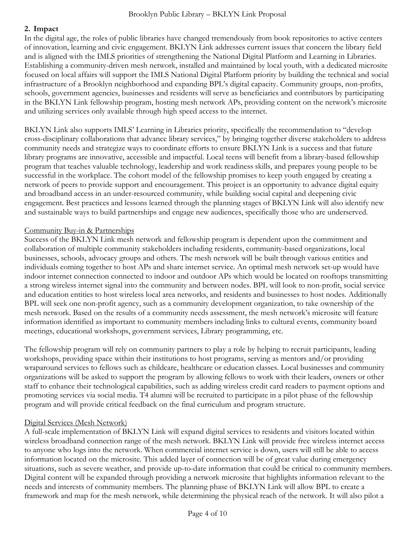## **2. Impact**

In the digital age, the roles of public libraries have changed tremendously from book repositories to active centers of innovation, learning and civic engagement. BKLYN Link addresses current issues that concern the library field and is aligned with the IMLS priorities of strengthening the National Digital Platform and Learning in Libraries. Establishing a community-driven mesh network, installed and maintained by local youth, with a dedicated microsite focused on local affairs will support the IMLS National Digital Platform priority by building the technical and social infrastructure of a Brooklyn neighborhood and expanding BPL's digital capacity. Community groups, non-profits, schools, government agencies, businesses and residents will serve as beneficiaries and contributors by participating in the BKLYN Link fellowship program, hosting mesh network APs, providing content on the network's microsite and utilizing services only available through high speed access to the internet.

BKLYN Link also supports IMLS' Learning in Libraries priority, specifically the recommendation to "develop cross-disciplinary collaborations that advance library services," by bringing together diverse stakeholders to address community needs and strategize ways to coordinate efforts to ensure BKLYN Link is a success and that future library programs are innovative, accessible and impactful. Local teens will benefit from a library-based fellowship program that teaches valuable technology, leadership and work readiness skills, and prepares young people to be successful in the workplace. The cohort model of the fellowship promises to keep youth engaged by creating a network of peers to provide support and encouragement. This project is an opportunity to advance digital equity and broadband access in an under-resourced community, while building social capital and deepening civic engagement. Best practices and lessons learned through the planning stages of BKLYN Link will also identify new and sustainable ways to build partnerships and engage new audiences, specifically those who are underserved.

## Community Buy-in & Partnerships

Success of the BKLYN Link mesh network and fellowship program is dependent upon the commitment and collaboration of multiple community stakeholders including residents, community-based organizations, local businesses, schools, advocacy groups and others. The mesh network will be built through various entities and individuals coming together to host APs and share internet service. An optimal mesh network set-up would have indoor internet connection connected to indoor and outdoor APs which would be located on rooftops transmitting a strong wireless internet signal into the community and between nodes. BPL will look to non-profit, social service and education entities to host wireless local area networks, and residents and businesses to host nodes. Additionally BPL will seek one non-profit agency, such as a community development organization, to take ownership of the mesh network. Based on the results of a community needs assessment, the mesh network's microsite will feature information identified as important to community members including links to cultural events, community board meetings, educational workshops, government services, Library programming, etc.

The fellowship program will rely on community partners to play a role by helping to recruit participants, leading workshops, providing space within their institutions to host programs, serving as mentors and/or providing wraparound services to fellows such as childcare, healthcare or education classes. Local businesses and community organizations will be asked to support the program by allowing fellows to work with their leaders, owners or other staff to enhance their technological capabilities, such as adding wireless credit card readers to payment options and promoting services via social media. T4 alumni will be recruited to participate in a pilot phase of the fellowship program and will provide critical feedback on the final curriculum and program structure.

## Digital Services (Mesh Network)

A full-scale implementation of BKLYN Link will expand digital services to residents and visitors located within wireless broadband connection range of the mesh network. BKLYN Link will provide free wireless internet access to anyone who logs into the network. When commercial internet service is down, users will still be able to access information located on the microsite. This added layer of connection will be of great value during emergency situations, such as severe weather, and provide up-to-date information that could be critical to community members. Digital content will be expanded through providing a network microsite that highlights information relevant to the needs and interests of community members. The planning phase of BKLYN Link will allow BPL to create a framework and map for the mesh network, while determining the physical reach of the network. It will also pilot a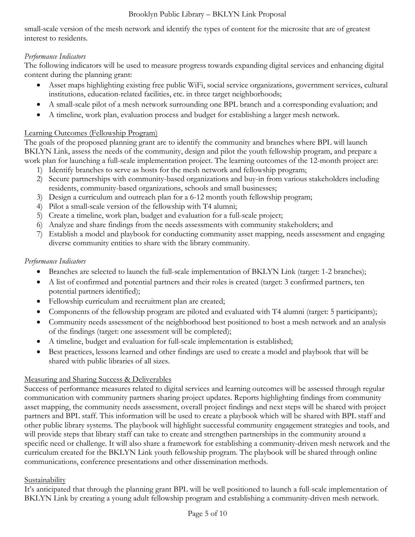small-scale version of the mesh network and identify the types of content for the microsite that are of greatest interest to residents.

## *Performance Indicators*

The following indicators will be used to measure progress towards expanding digital services and enhancing digital content during the planning grant:

- Asset maps highlighting existing free public WiFi, social service organizations, government services, cultural institutions, education-related facilities, etc. in three target neighborhoods;
- A small-scale pilot of a mesh network surrounding one BPL branch and a corresponding evaluation; and
- A timeline, work plan, evaluation process and budget for establishing a larger mesh network.

## Learning Outcomes (Fellowship Program)

The goals of the proposed planning grant are to identify the community and branches where BPL will launch BKLYN Link, assess the needs of the community, design and pilot the youth fellowship program, and prepare a work plan for launching a full-scale implementation project. The learning outcomes of the 12-month project are:

- 1) Identify branches to serve as hosts for the mesh network and fellowship program;
- 2) Secure partnerships with community-based organizations and buy-in from various stakeholders including residents, community-based organizations, schools and small businesses;
- 3) Design a curriculum and outreach plan for a 6-12 month youth fellowship program;
- 4) Pilot a small-scale version of the fellowship with T4 alumni;
- 5) Create a timeline, work plan, budget and evaluation for a full-scale project;
- 6) Analyze and share findings from the needs assessments with community stakeholders; and
- 7) Establish a model and playbook for conducting community asset mapping, needs assessment and engaging diverse community entities to share with the library community.

## *Performance Indicators*

- Branches are selected to launch the full-scale implementation of BKLYN Link (target: 1-2 branches);
- A list of confirmed and potential partners and their roles is created (target: 3 confirmed partners, ten potential partners identified);
- Fellowship curriculum and recruitment plan are created;
- Components of the fellowship program are piloted and evaluated with T4 alumni (target: 5 participants);
- Community needs assessment of the neighborhood best positioned to host a mesh network and an analysis of the findings (target: one assessment will be completed);
- A timeline, budget and evaluation for full-scale implementation is established;
- Best practices, lessons learned and other findings are used to create a model and playbook that will be shared with public libraries of all sizes.

## Measuring and Sharing Success & Deliverables

Success of performance measures related to digital services and learning outcomes will be assessed through regular communication with community partners sharing project updates. Reports highlighting findings from community asset mapping, the community needs assessment, overall project findings and next steps will be shared with project partners and BPL staff. This information will be used to create a playbook which will be shared with BPL staff and other public library systems. The playbook will highlight successful community engagement strategies and tools, and will provide steps that library staff can take to create and strengthen partnerships in the community around a specific need or challenge. It will also share a framework for establishing a community-driven mesh network and the curriculum created for the BKLYN Link youth fellowship program. The playbook will be shared through online communications, conference presentations and other dissemination methods.

## Sustainability

It's anticipated that through the planning grant BPL will be well positioned to launch a full-scale implementation of BKLYN Link by creating a young adult fellowship program and establishing a community-driven mesh network.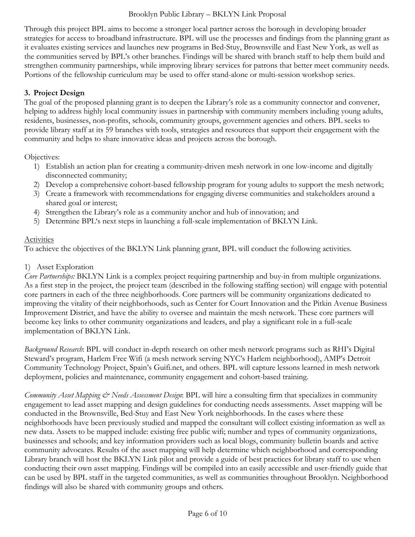Through this project BPL aims to become a stronger local partner across the borough in developing broader strategies for access to broadband infrastructure. BPL will use the processes and findings from the planning grant as it evaluates existing services and launches new programs in Bed-Stuy, Brownsville and East New York, as well as the communities served by BPL's other branches. Findings will be shared with branch staff to help them build and strengthen community partnerships, while improving library services for patrons that better meet community needs. Portions of the fellowship curriculum may be used to offer stand-alone or multi-session workshop series.

## **3. Project Design**

The goal of the proposed planning grant is to deepen the Library's role as a community connector and convener, helping to address highly local community issues in partnership with community members including young adults, residents, businesses, non-profits, schools, community groups, government agencies and others. BPL seeks to provide library staff at its 59 branches with tools, strategies and resources that support their engagement with the community and helps to share innovative ideas and projects across the borough.

Objectives:

- 1) Establish an action plan for creating a community-driven mesh network in one low-income and digitally disconnected community;
- 2) Develop a comprehensive cohort-based fellowship program for young adults to support the mesh network;
- 3) Create a framework with recommendations for engaging diverse communities and stakeholders around a shared goal or interest;
- 4) Strengthen the Library's role as a community anchor and hub of innovation; and
- 5) Determine BPL's next steps in launching a full-scale implementation of BKLYN Link.

## Activities

To achieve the objectives of the BKLYN Link planning grant, BPL will conduct the following activities.

## 1) Asset Exploration

*Core Partnerships:* BKLYN Link is a complex project requiring partnership and buy-in from multiple organizations. As a first step in the project, the project team (described in the following staffing section) will engage with potential core partners in each of the three neighborhoods. Core partners will be community organizations dedicated to improving the vitality of their neighborhoods, such as Center for Court Innovation and the Pitkin Avenue Business Improvement District, and have the ability to oversee and maintain the mesh network. These core partners will become key links to other community organizations and leaders, and play a significant role in a full-scale implementation of BKLYN Link.

*Background Research*: BPL will conduct in-depth research on other mesh network programs such as RHI's Digital Steward's program, Harlem Free Wifi (a mesh network serving NYC's Harlem neighborhood), AMP's Detroit Community Technology Project, Spain's Guifi.net, and others. BPL will capture lessons learned in mesh network deployment, policies and maintenance, community engagement and cohort-based training.

*Community Asset Mapping & Needs Assessment Design*: BPL will hire a consulting firm that specializes in community engagement to lead asset mapping and design guidelines for conducting needs assessments. Asset mapping will be conducted in the Brownsville, Bed-Stuy and East New York neighborhoods. In the cases where these neighborhoods have been previously studied and mapped the consultant will collect existing information as well as new data. Assets to be mapped include: existing free public wifi; number and types of community organizations, businesses and schools; and key information providers such as local blogs, community bulletin boards and active community advocates. Results of the asset mapping will help determine which neighborhood and corresponding Library branch will host the BKLYN Link pilot and provide a guide of best practices for library staff to use when conducting their own asset mapping. Findings will be compiled into an easily accessible and user-friendly guide that can be used by BPL staff in the targeted communities, as well as communities throughout Brooklyn. Neighborhood findings will also be shared with community groups and others.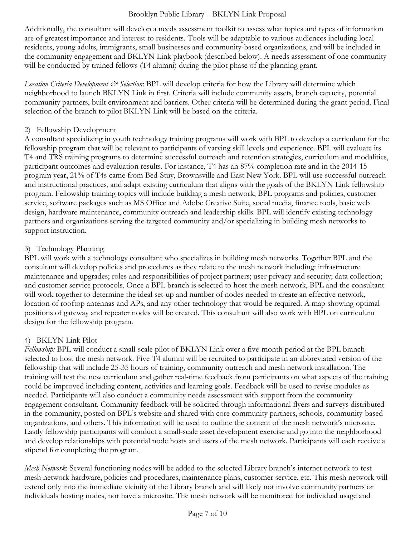Additionally, the consultant will develop a needs assessment toolkit to assess what topics and types of information are of greatest importance and interest to residents. Tools will be adaptable to various audiences including local residents, young adults, immigrants, small businesses and community-based organizations, and will be included in the community engagement and BKLYN Link playbook (described below). A needs assessment of one community will be conducted by trained fellows (T4 alumni) during the pilot phase of the planning grant.

*Location Criteria Development*  $\mathcal{O}$  *Selection*: BPL will develop criteria for how the Library will determine which neighborhood to launch BKLYN Link in first. Criteria will include community assets, branch capacity, potential community partners, built environment and barriers. Other criteria will be determined during the grant period. Final selection of the branch to pilot BKLYN Link will be based on the criteria.

#### 2) Fellowship Development

A consultant specializing in youth technology training programs will work with BPL to develop a curriculum for the fellowship program that will be relevant to participants of varying skill levels and experience. BPL will evaluate its T4 and TRS training programs to determine successful outreach and retention strategies, curriculum and modalities, participant outcomes and evaluation results. For instance, T4 has an 87% completion rate and in the 2014-15 program year, 21% of T4s came from Bed-Stuy, Brownsville and East New York. BPL will use successful outreach and instructional practices, and adapt existing curriculum that aligns with the goals of the BKLYN Link fellowship program. Fellowship training topics will include building a mesh network, BPL programs and policies, customer service, software packages such as MS Office and Adobe Creative Suite, social media, finance tools, basic web design, hardware maintenance, community outreach and leadership skills. BPL will identify existing technology partners and organizations serving the targeted community and/or specializing in building mesh networks to support instruction.

## 3) Technology Planning

BPL will work with a technology consultant who specializes in building mesh networks. Together BPL and the consultant will develop policies and procedures as they relate to the mesh network including: infrastructure maintenance and upgrades; roles and responsibilities of project partners; user privacy and security; data collection; and customer service protocols. Once a BPL branch is selected to host the mesh network, BPL and the consultant will work together to determine the ideal set-up and number of nodes needed to create an effective network, location of rooftop antennas and APs, and any other technology that would be required. A map showing optimal positions of gateway and repeater nodes will be created. This consultant will also work with BPL on curriculum design for the fellowship program.

## 4) BKLYN Link Pilot

*Fellowship:* BPL will conduct a small-scale pilot of BKLYN Link over a five-month period at the BPL branch selected to host the mesh network. Five T4 alumni will be recruited to participate in an abbreviated version of the fellowship that will include 25-35 hours of training, community outreach and mesh network installation. The training will test the new curriculum and gather real-time feedback from participants on what aspects of the training could be improved including content, activities and learning goals. Feedback will be used to revise modules as needed. Participants will also conduct a community needs assessment with support from the community engagement consultant. Community feedback will be solicited through informational flyers and surveys distributed in the community, posted on BPL's website and shared with core community partners, schools, community-based organizations, and others. This information will be used to outline the content of the mesh network's microsite. Lastly fellowship participants will conduct a small-scale asset development exercise and go into the neighborhood and develop relationships with potential node hosts and users of the mesh network. Participants will each receive a stipend for completing the program.

*Mesh Network*: Several functioning nodes will be added to the selected Library branch's internet network to test mesh network hardware, policies and procedures, maintenance plans, customer service, etc. This mesh network will extend only into the immediate vicinity of the Library branch and will likely not involve community partners or individuals hosting nodes, nor have a microsite. The mesh network will be monitored for individual usage and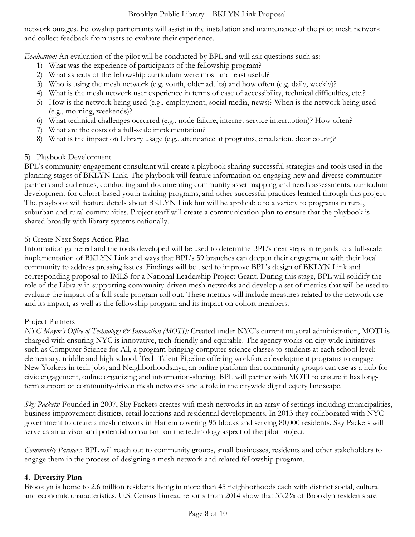network outages. Fellowship participants will assist in the installation and maintenance of the pilot mesh network and collect feedback from users to evaluate their experience.

*Evaluation:* An evaluation of the pilot will be conducted by BPL and will ask questions such as:

- 1) What was the experience of participants of the fellowship program?
- 2) What aspects of the fellowship curriculum were most and least useful?
- 3) Who is using the mesh network (e.g. youth, older adults) and how often (e.g. daily, weekly)?
- 4) What is the mesh network user experience in terms of ease of accessibility, technical difficulties, etc.?
- 5) How is the network being used (e.g., employment, social media, news)? When is the network being used (e.g., morning, weekends)?
- 6) What technical challenges occurred (e.g., node failure, internet service interruption)? How often?
- 7) What are the costs of a full-scale implementation?
- 8) What is the impact on Library usage (e.g., attendance at programs, circulation, door count)?

#### 5) Playbook Development

BPL's community engagement consultant will create a playbook sharing successful strategies and tools used in the planning stages of BKLYN Link. The playbook will feature information on engaging new and diverse community partners and audiences, conducting and documenting community asset mapping and needs assessments, curriculum development for cohort-based youth training programs, and other successful practices learned through this project. The playbook will feature details about BKLYN Link but will be applicable to a variety to programs in rural, suburban and rural communities. Project staff will create a communication plan to ensure that the playbook is shared broadly with library systems nationally.

#### 6) Create Next Steps Action Plan

Information gathered and the tools developed will be used to determine BPL's next steps in regards to a full-scale implementation of BKLYN Link and ways that BPL's 59 branches can deepen their engagement with their local community to address pressing issues. Findings will be used to improve BPL's design of BKLYN Link and corresponding proposal to IMLS for a National Leadership Project Grant. During this stage, BPL will solidify the role of the Library in supporting community-driven mesh networks and develop a set of metrics that will be used to evaluate the impact of a full scale program roll out. These metrics will include measures related to the network use and its impact, as well as the fellowship program and its impact on cohort members.

#### Project Partners

*NYC Mayor's Office of Technology & Innovation (MOTI):* Created under NYC's current mayoral administration, MOTI is charged with ensuring NYC is innovative, tech-friendly and equitable. The agency works on city-wide initiatives such as Computer Science for All, a program bringing computer science classes to students at each school level: elementary, middle and high school; Tech Talent Pipeline offering workforce development programs to engage New Yorkers in tech jobs; and Neighborhoods.nyc, an online platform that community groups can use as a hub for civic engagement, online organizing and information-sharing. BPL will partner with MOTI to ensure it has longterm support of community-driven mesh networks and a role in the citywide digital equity landscape.

*Sky Packets:* Founded in 2007, Sky Packets creates wifi mesh networks in an array of settings including municipalities, business improvement districts, retail locations and residential developments. In 2013 they collaborated with NYC government to create a mesh network in Harlem covering 95 blocks and serving 80,000 residents. Sky Packets will serve as an advisor and potential consultant on the technology aspect of the pilot project.

*Community Partners*: BPL will reach out to community groups, small businesses, residents and other stakeholders to engage them in the process of designing a mesh network and related fellowship program.

## **4. Diversity Plan**

Brooklyn is home to 2.6 million residents living in more than 45 neighborhoods each with distinct social, cultural and economic characteristics. U.S. Census Bureau reports from 2014 show that 35.2% of Brooklyn residents are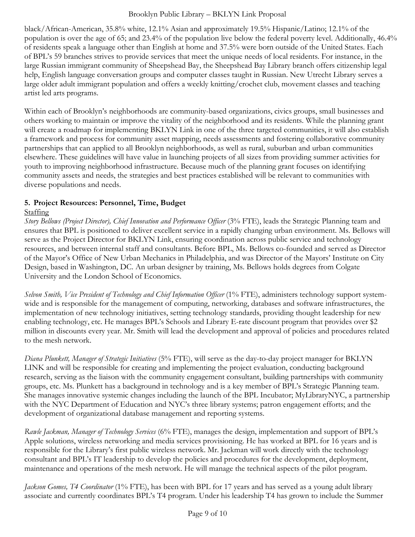black/African-American, 35.8% white, 12.1% Asian and approximately 19.5% Hispanic/Latino; 12.1% of the population is over the age of 65; and 23.4% of the population live below the federal poverty level. Additionally, 46.4% of residents speak a language other than English at home and 37.5% were born outside of the United States. Each of BPL's 59 branches strives to provide services that meet the unique needs of local residents. For instance, in the large Russian immigrant community of Sheepshead Bay, the Sheepshead Bay Library branch offers citizenship legal help, English language conversation groups and computer classes taught in Russian. New Utrecht Library serves a large older adult immigrant population and offers a weekly knitting/crochet club, movement classes and teaching artist led arts programs.

Within each of Brooklyn's neighborhoods are community-based organizations, civics groups, small businesses and others working to maintain or improve the vitality of the neighborhood and its residents. While the planning grant will create a roadmap for implementing BKLYN Link in one of the three targeted communities, it will also establish a framework and process for community asset mapping, needs assessments and fostering collaborative community partnerships that can applied to all Brooklyn neighborhoods, as well as rural, suburban and urban communities elsewhere. These guidelines will have value in launching projects of all sizes from providing summer activities for youth to improving neighborhood infrastructure. Because much of the planning grant focuses on identifying community assets and needs, the strategies and best practices established will be relevant to communities with diverse populations and needs.

## **5. Project Resources: Personnel, Time, Budget**

## Staffing

*Story Bellows (Project Director), Chief Innovation and Performance Officer* (3% FTE), leads the Strategic Planning team and ensures that BPL is positioned to deliver excellent service in a rapidly changing urban environment. Ms. Bellows will serve as the Project Director for BKLYN Link, ensuring coordination across public service and technology resources, and between internal staff and consultants. Before BPL, Ms. Bellows co-founded and served as Director of the Mayor's Office of New Urban Mechanics in Philadelphia, and was Director of the Mayors' Institute on City Design, based in Washington, DC. An urban designer by training, Ms. Bellows holds degrees from Colgate University and the London School of Economics.

*Selvon Smith, Vice President of Technology and Chief Information Officer* (1% FTE), administers technology support systemwide and is responsible for the management of computing, networking, databases and software infrastructures, the implementation of new technology initiatives, setting technology standards, providing thought leadership for new enabling technology, etc. He manages BPL's Schools and Library E-rate discount program that provides over \$2 million in discounts every year. Mr. Smith will lead the development and approval of policies and procedures related to the mesh network.

*Diana Plunkett, Manager of Strategic Initiatives* (5% FTE), will serve as the day-to-day project manager for BKLYN LINK and will be responsible for creating and implementing the project evaluation, conducting background research, serving as the liaison with the community engagement consultant, building partnerships with community groups, etc. Ms. Plunkett has a background in technology and is a key member of BPL's Strategic Planning team. She manages innovative systemic changes including the launch of the BPL Incubator; MyLibraryNYC, a partnership with the NYC Department of Education and NYC's three library systems; patron engagement efforts; and the development of organizational database management and reporting systems.

*Rawle Jackman, Manager of Technology Services* (6% FTE), manages the design, implementation and support of BPL's Apple solutions, wireless networking and media services provisioning. He has worked at BPL for 16 years and is responsible for the Library's first public wireless network. Mr. Jackman will work directly with the technology consultant and BPL's IT leadership to develop the policies and procedures for the development, deployment, maintenance and operations of the mesh network. He will manage the technical aspects of the pilot program.

*Jackson Gomes, T4 Coordinator* (1% FTE), has been with BPL for 17 years and has served as a young adult library associate and currently coordinates BPL's T4 program. Under his leadership T4 has grown to include the Summer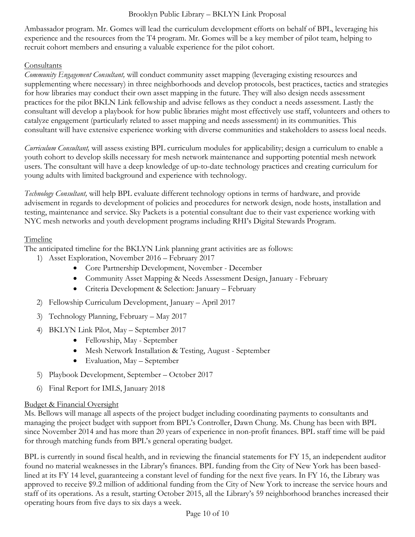Ambassador program. Mr. Gomes will lead the curriculum development efforts on behalf of BPL, leveraging his experience and the resources from the T4 program. Mr. Gomes will be a key member of pilot team, helping to recruit cohort members and ensuring a valuable experience for the pilot cohort.

## Consultants

*Community Engagement Consultant,* will conduct community asset mapping (leveraging existing resources and supplementing where necessary) in three neighborhoods and develop protocols, best practices, tactics and strategies for how libraries may conduct their own asset mapping in the future. They will also design needs assessment practices for the pilot BKLN Link fellowship and advise fellows as they conduct a needs assessment. Lastly the consultant will develop a playbook for how public libraries might most effectively use staff, volunteers and others to catalyze engagement (particularly related to asset mapping and needs assessment) in its communities. This consultant will have extensive experience working with diverse communities and stakeholders to assess local needs.

*Curriculum Consultant,* will assess existing BPL curriculum modules for applicability; design a curriculum to enable a youth cohort to develop skills necessary for mesh network maintenance and supporting potential mesh network users. The consultant will have a deep knowledge of up-to-date technology practices and creating curriculum for young adults with limited background and experience with technology.

*Technology Consultant,* will help BPL evaluate different technology options in terms of hardware, and provide advisement in regards to development of policies and procedures for network design, node hosts, installation and testing, maintenance and service. Sky Packets is a potential consultant due to their vast experience working with NYC mesh networks and youth development programs including RHI's Digital Stewards Program.

## Timeline

The anticipated timeline for the BKLYN Link planning grant activities are as follows:

- 1) Asset Exploration, November 2016 February 2017
	- Core Partnership Development, November December
	- Community Asset Mapping & Needs Assessment Design, January February
	- Criteria Development & Selection: January February
- 2) Fellowship Curriculum Development, January April 2017
- 3) Technology Planning, February May 2017
- 4) BKLYN Link Pilot, May September 2017
	- Fellowship, May September
	- Mesh Network Installation & Testing, August September
	- Evaluation, May September
- 5) Playbook Development, September October 2017
- 6) Final Report for IMLS, January 2018

## Budget & Financial Oversight

Ms. Bellows will manage all aspects of the project budget including coordinating payments to consultants and managing the project budget with support from BPL's Controller, Dawn Chung. Ms. Chung has been with BPL since November 2014 and has more than 20 years of experience in non-profit finances. BPL staff time will be paid for through matching funds from BPL's general operating budget.

BPL is currently in sound fiscal health, and in reviewing the financial statements for FY 15, an independent auditor found no material weaknesses in the Library's finances. BPL funding from the City of New York has been basedlined at its FY 14 level, guaranteeing a constant level of funding for the next five years. In FY 16, the Library was approved to receive \$9.2 million of additional funding from the City of New York to increase the service hours and staff of its operations. As a result, starting October 2015, all the Library's 59 neighborhood branches increased their operating hours from five days to six days a week.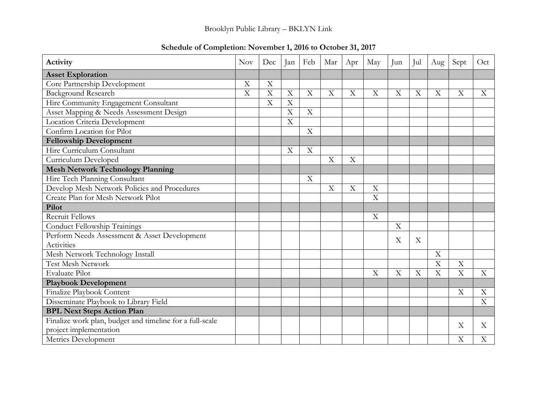| Activity                                                 | Nov                     | Dec         | Jan                     | Feb                       | Mar | Apr | May                       | Jun                       | Jul | Aug     | Sept                      | Oct                       |
|----------------------------------------------------------|-------------------------|-------------|-------------------------|---------------------------|-----|-----|---------------------------|---------------------------|-----|---------|---------------------------|---------------------------|
| <b>Asset Exploration</b>                                 |                         |             |                         |                           |     |     |                           |                           |     |         |                           |                           |
| Core Partnership Development                             | $\overline{\mathrm{X}}$ | $\mathbf X$ |                         |                           |     |     |                           |                           |     |         |                           |                           |
| <b>Background Research</b>                               | $\overline{X}$          | $\mathbf X$ | X                       | X                         | X   | X   | X                         | X                         | X   | X       | X                         | X                         |
| Hire Community Engagement Consultant                     |                         | X           | X                       |                           |     |     |                           |                           |     |         |                           |                           |
| Asset Mapping & Needs Assessment Design                  |                         |             | $\overline{\mathrm{X}}$ | $\mathbf X$               |     |     |                           |                           |     |         |                           |                           |
| Location Criteria Development                            |                         |             | X                       |                           |     |     |                           |                           |     |         |                           |                           |
| Confirm Location for Pilot                               |                         |             |                         | $\boldsymbol{\mathrm{X}}$ |     |     |                           |                           |     |         |                           |                           |
| <b>Fellowship Development</b>                            |                         |             |                         |                           |     |     |                           |                           |     |         |                           |                           |
| Hire Curriculum Consultant                               |                         |             | X                       | X                         |     |     |                           |                           |     |         |                           |                           |
| Curriculum Developed                                     |                         |             |                         |                           | X   | X   |                           |                           |     |         |                           |                           |
| <b>Mesh Network Technology Planning</b>                  |                         |             |                         |                           |     |     |                           |                           |     |         |                           |                           |
| Hire Tech Planning Consultant                            |                         |             |                         | X                         |     |     |                           |                           |     |         |                           |                           |
| Develop Mesh Network Policies and Procedures             |                         |             |                         |                           | X   | X   | $\overline{X}$            |                           |     |         |                           |                           |
| Create Plan for Mesh Network Pilot                       |                         |             |                         |                           |     |     | $\boldsymbol{\mathrm{X}}$ |                           |     |         |                           |                           |
| Pilot                                                    |                         |             |                         |                           |     |     |                           |                           |     |         |                           |                           |
| <b>Recruit Fellows</b>                                   |                         |             |                         |                           |     |     | $\mathbf X$               |                           |     |         |                           |                           |
| Conduct Fellowship Trainings                             |                         |             |                         |                           |     |     |                           | X                         |     |         |                           |                           |
| Perform Needs Assessment & Asset Development             |                         |             |                         |                           |     |     |                           | X                         | X   |         |                           |                           |
| Activities                                               |                         |             |                         |                           |     |     |                           |                           |     |         |                           |                           |
| Mesh Network Technology Install                          |                         |             |                         |                           |     |     |                           |                           |     | X       |                           |                           |
| <b>Test Mesh Network</b>                                 |                         |             |                         |                           |     |     |                           |                           |     | Χ       | X                         |                           |
| <b>Evaluate Pilot</b>                                    |                         |             |                         |                           |     |     | X                         | $\boldsymbol{\mathrm{X}}$ | X   | $\rm X$ | X                         | X                         |
| <b>Playbook Development</b>                              |                         |             |                         |                           |     |     |                           |                           |     |         |                           |                           |
| Finalize Playbook Content                                |                         |             |                         |                           |     |     |                           |                           |     |         | $\boldsymbol{\mathrm{X}}$ | X                         |
| Disseminate Playbook to Library Field                    |                         |             |                         |                           |     |     |                           |                           |     |         |                           | $\boldsymbol{\mathrm{X}}$ |
| <b>BPL Next Steps Action Plan</b>                        |                         |             |                         |                           |     |     |                           |                           |     |         |                           |                           |
| Finalize work plan, budget and timeline for a full-scale |                         |             |                         |                           |     |     |                           |                           |     |         | X                         | X                         |
| project implementation                                   |                         |             |                         |                           |     |     |                           |                           |     |         |                           |                           |
| Metrics Development                                      |                         |             |                         |                           |     |     |                           |                           |     |         | X                         | X                         |

# **Schedule of Completion: November 1, 2016 to October 31, 2017**

Brooklyn Public Library – BKLYN Link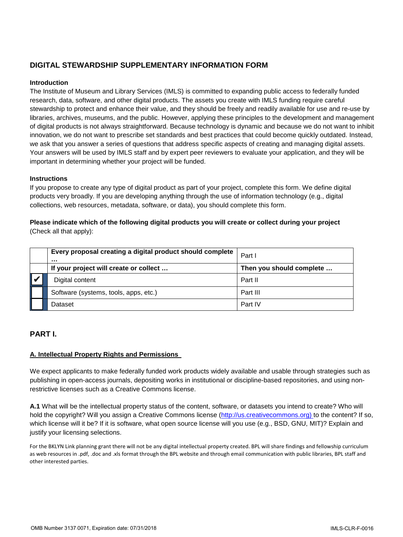## **DIGITAL STEWARDSHIP SUPPLEMENTARY INFORMATION FORM**

#### **Introduction**

The Institute of Museum and Library Services (IMLS) is committed to expanding public access to federally funded research, data, software, and other digital products. The assets you create with IMLS funding require careful stewardship to protect and enhance their value, and they should be freely and readily available for use and re-use by libraries, archives, museums, and the public. However, applying these principles to the development and management of digital products is not always straightforward. Because technology is dynamic and because we do not want to inhibit innovation, we do not want to prescribe set standards and best practices that could become quickly outdated. Instead, we ask that you answer a series of questions that address specific aspects of creating and managing digital assets. Your answers will be used by IMLS staff and by expert peer reviewers to evaluate your application, and they will be important in determining whether your project will be funded.

#### **Instructions**

If you propose to create any type of digital product as part of your project, complete this form. We define digital products very broadly. If you are developing anything through the use of information technology (e.g., digital collections, web resources, metadata, software, or data), you should complete this form.

#### **Please indicate which of the following digital products you will create or collect during your project**  (Check all that apply):

|   | Every proposal creating a digital product should complete<br> | Part I                   |  |  |  |  |
|---|---------------------------------------------------------------|--------------------------|--|--|--|--|
|   | If your project will create or collect                        | Then you should complete |  |  |  |  |
| Ⅳ | Digital content                                               | Part II                  |  |  |  |  |
|   | Software (systems, tools, apps, etc.)                         | Part III                 |  |  |  |  |
|   | Dataset                                                       | Part IV                  |  |  |  |  |

#### **PART I.**

#### **A. Intellectual Property Rights and Permissions**

We expect applicants to make federally funded work products widely available and usable through strategies such as publishing in open-access journals, depositing works in institutional or discipline-based repositories, and using nonrestrictive licenses such as a Creative Commons license.

**A.1** What will be the intellectual property status of the content, software, or datasets you intend to create? Who will hold the copyright? Will you assign a Creative Commons license (http://us.creativecommons.org) to the content? If so, which license will it be? If it is software, what open source license will you use (e.g., BSD, GNU, MIT)? Explain and justify your licensing selections. OMBIT Software (systems, tools, apps, etc.)<br>
Part III<br>
Part III Part III<br>
Part IV<br>
PaRT I.<br>
A. Intellectual Property Rights and Permissions.<br>
We expect applicants to make federally funded work products widely available a

For the BKLYN Link planning grant there will not be any digital intellectual property created. BPL will share findings and fellowship curriculum as web resources in .pdf, .doc and .xls format through the BPL website and through email communication with public libraries, BPL staff and other interested parties.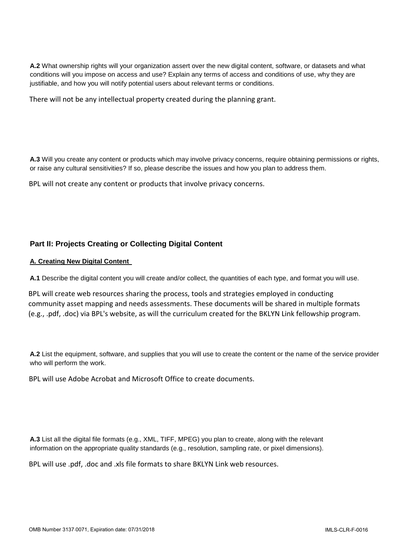**A.2** What ownership rights will your organization assert over the new digital content, software, or datasets and what conditions will you impose on access and use? Explain any terms of access and conditions of use, why they are justifiable, and how you will notify potential users about relevant terms or conditions.

**A.3** Will you create any content or products which may involve privacy concerns, require obtaining permissions or rights, or raise any cultural sensitivities? If so, please describe the issues and how you plan to address them. There will not be any intellectual property created during the planning grant.<br><br>**A.3** Will you create any content or products which may involve privacy concerns, requ<br>or raise any cultural sensitivities? If so, please desc

#### **Part II: Projects Creating or Collecting Digital Content**

#### **A. Creating New Digital Content**

**A.1** Describe the digital content you will create and/or collect, the quantities of each type, and format you will use.

BPL will create web resources sharing the process, tools and strategies employed in conducting community asset mapping and needs assessments. These documents will be shared in multiple formats (e.g., .pdf, .doc) via BPL's website, as will the curriculum created for the BKLYN Link fellowship program.

**A.2** List the equipment, software, and supplies that you will use to create the content or the name of the service provider who will perform the work.

**A.3** List all the digital file formats (e.g., XML, TIFF, MPEG) you plan to create, along with the relevant information on the appropriate quality standards (e.g., resolution, sampling rate, or pixel dimensions). BPL will use Adobe Acrobat and Microsoft Office to create documents.<br>**A.3** List all the digital file formats (e.g., XML, TIFF, MPEG) you plan to create, along w<br>information on the appropriate quality standards (e.g., resol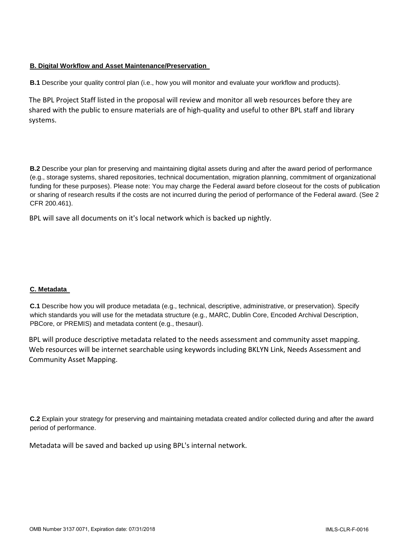#### **B. Digital Workflow and Asset Maintenance/Preservation**

**B.1** Describe your quality control plan (i.e., how you will monitor and evaluate your workflow and products).

The BPL Project Staff listed in the proposal will review and monitor all web resources before they are shared with the public to ensure materials are of high-quality and useful to other BPL staff and library systems.

**B.2** Describe your plan for preserving and maintaining digital assets during and after the award period of performance (e.g., storage systems, shared repositories, technical documentation, migration planning, commitment of organizational funding for these purposes). Please note: You may charge the Federal award before closeout for the costs of publication or sharing of research results if the costs are not incurred during the period of performance of the Federal award. (See 2 CFR 200.461).

BPL will save all documents on it's local network which is backed up nightly.

#### **C. Metadata**

**C.1** Describe how you will produce metadata (e.g., technical, descriptive, administrative, or preservation). Specify which standards you will use for the metadata structure (e.g., MARC, Dublin Core, Encoded Archival Description, PBCore, or PREMIS) and metadata content (e.g., thesauri).

BPL will produce descriptive metadata related to the needs assessment and community asset mapping. Web resources will be internet searchable using keywords including BKLYN Link, Needs Assessment and Community Asset Mapping.

**C.2** Explain your strategy for preserving and maintaining metadata created and/or collected during and after the award period of performance.

Metadata will be saved and backed up using BPL's internal network.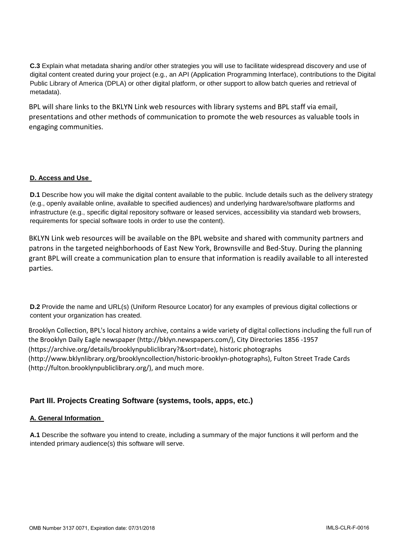**C.3** Explain what metadata sharing and/or other strategies you will use to facilitate widespread discovery and use of digital content created during your project (e.g., an API (Application Programming Interface), contributions to the Digital Public Library of America (DPLA) or other digital platform, or other support to allow batch queries and retrieval of metadata).

BPL will share links to the BKLYN Link web resources with library systems and BPL staff via email, presentations and other methods of communication to promote the web resources as valuable tools in engaging communities.

#### **D. Access and Use**

**D.1** Describe how you will make the digital content available to the public. Include details such as the delivery strategy (e.g., openly available online, available to specified audiences) and underlying hardware/software platforms and infrastructure (e.g., specific digital repository software or leased services, accessibility via standard web browsers, requirements for special software tools in order to use the content).

BKLYN Link web resources will be available on the BPL website and shared with community partners and patrons in the targeted neighborhoods of East New York, Brownsville and Bed-Stuy. During the planning grant BPL will create a communication plan to ensure that information is readily available to all interested parties.

**D.2** Provide the name and URL(s) (Uniform Resource Locator) for any examples of previous digital collections or content your organization has created.

Brooklyn Collection, BPL's local history archive, contains a wide variety of digital collections including the full run of the Brooklyn Daily Eagle newspaper (http://bklyn.newspapers.com/), City Directories 1856 -1957 (https://archive.org/details/brooklynpubliclibrary?&sort=date), historic photographs (http://www.bklynlibrary.org/brooklyncollection/historic-brooklyn-photographs), Fulton Street Trade Cards (http://fulton.brooklynpubliclibrary.org/), and much more.

## **Part III. Projects Creating Software (systems, tools, apps, etc.)**

#### **A. General Information**

**A.1** Describe the software you intend to create, including a summary of the major functions it will perform and the intended primary audience(s) this software will serve.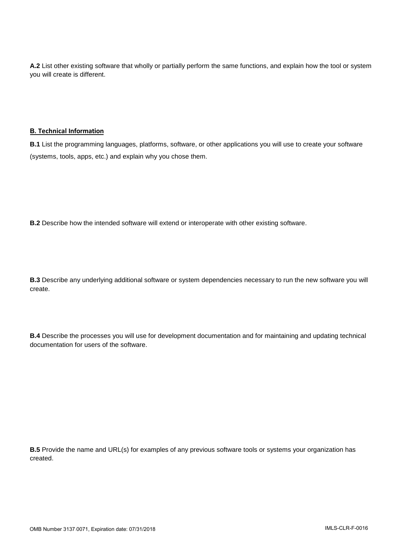**A.2** List other existing software that wholly or partially perform the same functions, and explain how the tool or system you will create is different.

#### **B. Technical Information**

**B.1** List the programming languages, platforms, software, or other applications you will use to create your software (systems, tools, apps, etc.) and explain why you chose them.

**B.2** Describe how the intended software will extend or interoperate with other existing software.

**B.3** Describe any underlying additional software or system dependencies necessary to run the new software you will create.

**B.4** Describe the processes you will use for development documentation and for maintaining and updating technical documentation for users of the software.

**B.5** Provide the name and URL(s) for examples of any previous software tools or systems your organization has created.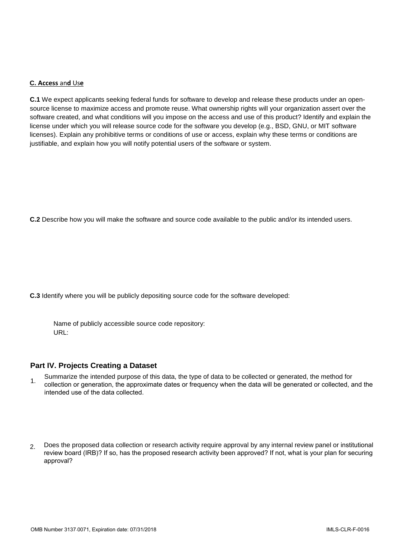#### **C. Access** an**d** Us**e**

**C.1** We expect applicants seeking federal funds for software to develop and release these products under an opensource license to maximize access and promote reuse. What ownership rights will your organization assert over the software created, and what conditions will you impose on the access and use of this product? Identify and explain the license under which you will release source code for the software you develop (e.g., BSD, GNU, or MIT software licenses). Explain any prohibitive terms or conditions of use or access, explain why these terms or conditions are justifiable, and explain how you will notify potential users of the software or system.

**C.2** Describe how you will make the software and source code available to the public and/or its intended users.

**C.3** Identify where you will be publicly depositing source code for the software developed:

Name of publicly accessible source code repository: URL:

#### **Part IV. Projects Creating a Dataset**

- Summarize the intended purpose of this data, the type of data to be collected or generated, the method for 1. collection or generation, the approximate dates or frequency when the data will be generated or collected, and the intended use of the data collected.
- 2. Does the proposed data collection or research activity require approval by any internal review panel or institutional review board (IRB)? If so, has the proposed research activity been approved? If not, what is your plan for securing approval?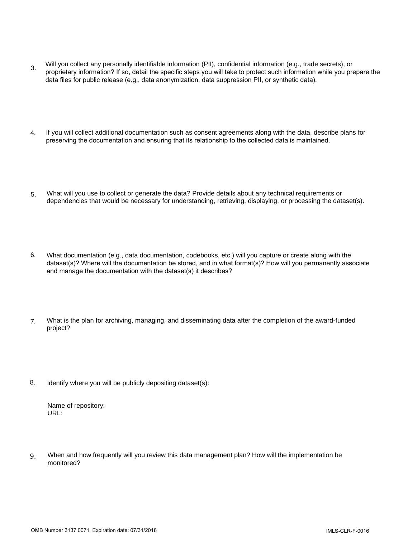- 3. Will you collect any personally identifiable information (PII), confidential information (e.g., trade secrets), or proprietary information? If so, detail the specific steps you will take to protect such information while you prepare the data files for public release (e.g., data anonymization, data suppression PII, or synthetic data).
- 4. If you will collect additional documentation such as consent agreements along with the data, describe plans for preserving the documentation and ensuring that its relationship to the collected data is maintained.
- 5. What will you use to collect or generate the data? Provide details about any technical requirements or dependencies that would be necessary for understanding, retrieving, displaying, or processing the dataset(s).
- 6. What documentation (e.g., data documentation, codebooks, etc.) will you capture or create along with the dataset(s)? Where will the documentation be stored, and in what format(s)? How will you permanently associate and manage the documentation with the dataset(s) it describes?
- 7. What is the plan for archiving, managing, and disseminating data after the completion of the award-funded project?
- 8. Identify where you will be publicly depositing dataset(s):

Name of repository: URL:

9. When and how frequently will you review this data management plan? How will the implementation be monitored?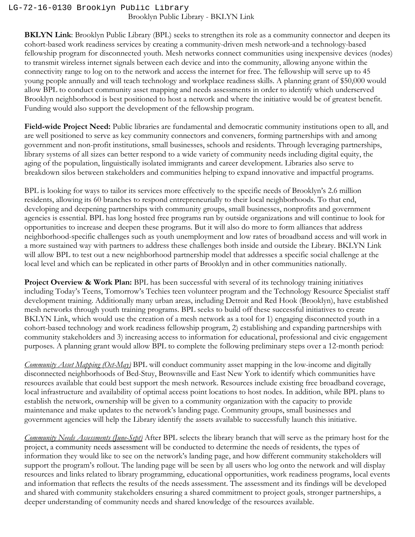## Brooklyn Public Library - BKLYN Link LG-72-16-0130 Brooklyn Public Library

**BKLYN Link**: Brooklyn Public Library (BPL) seeks to strengthen its role as a community connector and deepen its cohort-based work readiness services by creating a community-driven mesh network and a technology-based fellowship program for disconnected youth. Mesh networks connect communities using inexpensive devices (nodes) to transmit wireless internet signals between each device and into the community, allowing anyone within the connectivity range to log on to the network and access the internet for free. The fellowship will serve up to 45 young people annually and will teach technology and workplace readiness skills. A planning grant of \$50,000 would allow BPL to conduct community asset mapping and needs assessments in order to identify which underserved Brooklyn neighborhood is best positioned to host a network and where the initiative would be of greatest benefit. Funding would also support the development of the fellowship program.

**Field-wide Project Need:** Public libraries are fundamental and democratic community institutions open to all, and are well positioned to serve as key community connectors and conveners, forming partnerships with and among government and non-profit institutions, small businesses, schools and residents. Through leveraging partnerships, library systems of all sizes can better respond to a wide variety of community needs including digital equity, the aging of the population, linguistically isolated immigrants and career development. Libraries also serve to breakdown silos between stakeholders and communities helping to expand innovative and impactful programs.

BPL is looking for ways to tailor its services more effectively to the specific needs of Brooklyn's 2.6 million residents, allowing its 60 branches to respond entrepreneurially to their local neighborhoods. To that end, developing and deepening partnerships with community groups, small businesses, nonprofits and government agencies is essential. BPL has long hosted free programs run by outside organizations and will continue to look for opportunities to increase and deepen these programs. But it will also do more to form alliances that address neighborhood-specific challenges such as youth unemployment and low rates of broadband access and will work in a more sustained way with partners to address these challenges both inside and outside the Library. BKLYN Link will allow BPL to test out a new neighborhood partnership model that addresses a specific social challenge at the local level and which can be replicated in other parts of Brooklyn and in other communities nationally.

**Project Overview & Work Plan:** BPL has been successful with several of its technology training initiatives including Today's Teens, Tomorrow's Techies teen volunteer program and the Technology Resource Specialist staff development training. Additionally many urban areas, including Detroit and Red Hook (Brooklyn), have established mesh networks through youth training programs. BPL seeks to build off these successful initiatives to create BKLYN Link, which would use the creation of a mesh network as a tool for 1) engaging disconnected youth in a cohort-based technology and work readiness fellowship program, 2) establishing and expanding partnerships with community stakeholders and 3) increasing access to information for educational, professional and civic engagement purposes. A planning grant would allow BPL to complete the following preliminary steps over a 12-month period:

*Community Asset Mapping (Oct-May)* BPL will conduct community asset mapping in the low-income and digitally disconnected neighborhoods of Bed-Stuy, Brownsville and East New York to identify which communities have resources available that could best support the mesh network. Resources include existing free broadband coverage, local infrastructure and availability of optimal access point locations to host nodes. In addition, while BPL plans to establish the network, ownership will be given to a community organization with the capacity to provide maintenance and make updates to the network's landing page. Community groups, small businesses and government agencies will help the Library identify the assets available to successfully launch this initiative.

*Community Needs Assessments (June-Sept)* After BPL selects the library branch that will serve as the primary host for the project, a community needs assessment will be conducted to determine the needs of residents, the types of information they would like to see on the network's landing page, and how different community stakeholders will support the program's rollout. The landing page will be seen by all users who log onto the network and will display resources and links related to library programming, educational opportunities, work readiness programs, local events and information that reflects the results of the needs assessment. The assessment and its findings will be developed and shared with community stakeholders ensuring a shared commitment to project goals, stronger partnerships, a deeper understanding of community needs and shared knowledge of the resources available.